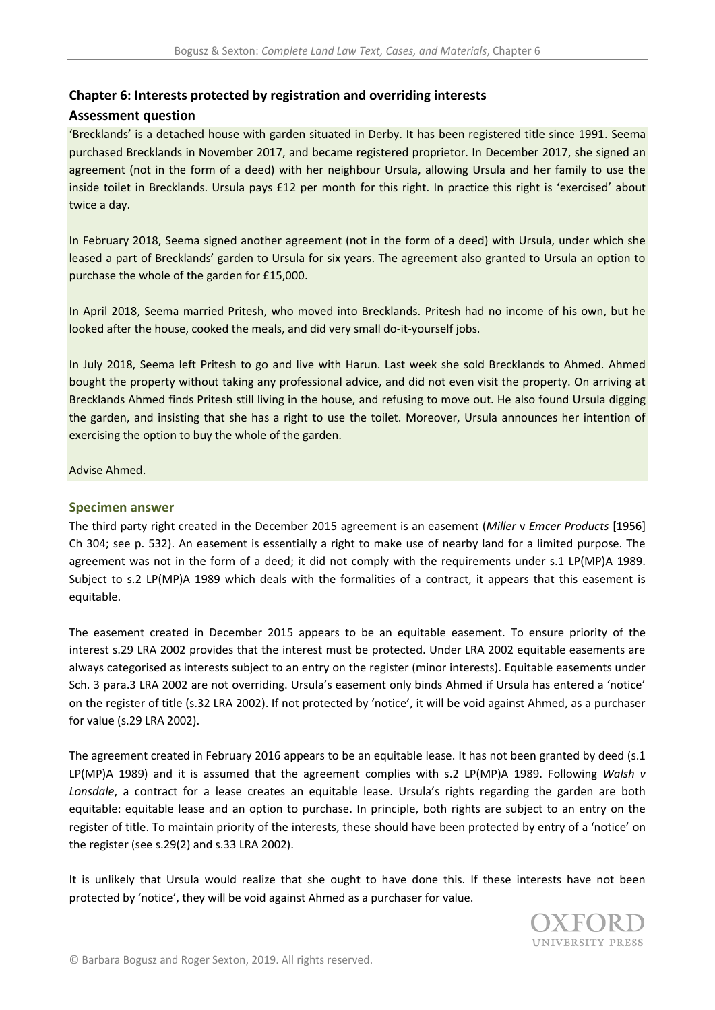## **Chapter 6: Interests protected by registration and overriding interests**

## **Assessment question**

'Brecklands' is a detached house with garden situated in Derby. It has been registered title since 1991. Seema purchased Brecklands in November 2017, and became registered proprietor. In December 2017, she signed an agreement (not in the form of a deed) with her neighbour Ursula, allowing Ursula and her family to use the inside toilet in Brecklands. Ursula pays £12 per month for this right. In practice this right is 'exercised' about twice a day.

In February 2018, Seema signed another agreement (not in the form of a deed) with Ursula, under which she leased a part of Brecklands' garden to Ursula for six years. The agreement also granted to Ursula an option to purchase the whole of the garden for £15,000.

In April 2018, Seema married Pritesh, who moved into Brecklands. Pritesh had no income of his own, but he looked after the house, cooked the meals, and did very small do-it-yourself jobs.

In July 2018, Seema left Pritesh to go and live with Harun. Last week she sold Brecklands to Ahmed. Ahmed bought the property without taking any professional advice, and did not even visit the property. On arriving at Brecklands Ahmed finds Pritesh still living in the house, and refusing to move out. He also found Ursula digging the garden, and insisting that she has a right to use the toilet. Moreover, Ursula announces her intention of exercising the option to buy the whole of the garden.

## Advise Ahmed.

## **Specimen answer**

The third party right created in the December 2015 agreement is an easement (*Miller* v *Emcer Products* [1956] Ch 304; see p. 532). An easement is essentially a right to make use of nearby land for a limited purpose. The agreement was not in the form of a deed; it did not comply with the requirements under s.1 LP(MP)A 1989. Subject to s.2 LP(MP)A 1989 which deals with the formalities of a contract, it appears that this easement is equitable.

The easement created in December 2015 appears to be an equitable easement. To ensure priority of the interest s.29 LRA 2002 provides that the interest must be protected. Under LRA 2002 equitable easements are always categorised as interests subject to an entry on the register (minor interests). Equitable easements under Sch. 3 para.3 LRA 2002 are not overriding. Ursula's easement only binds Ahmed if Ursula has entered a 'notice' on the register of title (s.32 LRA 2002). If not protected by 'notice', it will be void against Ahmed, as a purchaser for value (s.29 LRA 2002).

The agreement created in February 2016 appears to be an equitable lease. It has not been granted by deed (s.1 LP(MP)A 1989) and it is assumed that the agreement complies with s.2 LP(MP)A 1989. Following *Walsh v Lonsdale*, a contract for a lease creates an equitable lease. Ursula's rights regarding the garden are both equitable: equitable lease and an option to purchase. In principle, both rights are subject to an entry on the register of title. To maintain priority of the interests, these should have been protected by entry of a 'notice' on the register (see s.29(2) and s.33 LRA 2002).

It is unlikely that Ursula would realize that she ought to have done this. If these interests have not been protected by 'notice', they will be void against Ahmed as a purchaser for value.